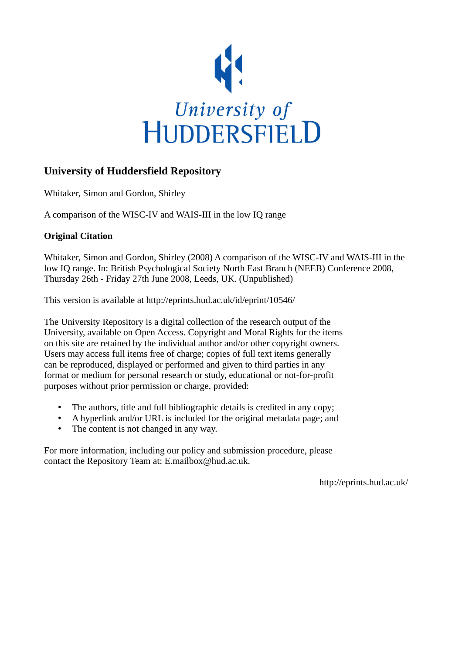

## **University of Huddersfield Repository**

Whitaker, Simon and Gordon, Shirley

A comparison of the WISC-IV and WAIS-III in the low IQ range

### **Original Citation**

Whitaker, Simon and Gordon, Shirley (2008) A comparison of the WISC-IV and WAIS-III in the low IQ range. In: British Psychological Society North East Branch (NEEB) Conference 2008, Thursday 26th - Friday 27th June 2008, Leeds, UK. (Unpublished)

This version is available at http://eprints.hud.ac.uk/id/eprint/10546/

The University Repository is a digital collection of the research output of the University, available on Open Access. Copyright and Moral Rights for the items on this site are retained by the individual author and/or other copyright owners. Users may access full items free of charge; copies of full text items generally can be reproduced, displayed or performed and given to third parties in any format or medium for personal research or study, educational or not-for-profit purposes without prior permission or charge, provided:

- The authors, title and full bibliographic details is credited in any copy;
- A hyperlink and/or URL is included for the original metadata page; and
- The content is not changed in any way.

For more information, including our policy and submission procedure, please contact the Repository Team at: E.mailbox@hud.ac.uk.

http://eprints.hud.ac.uk/